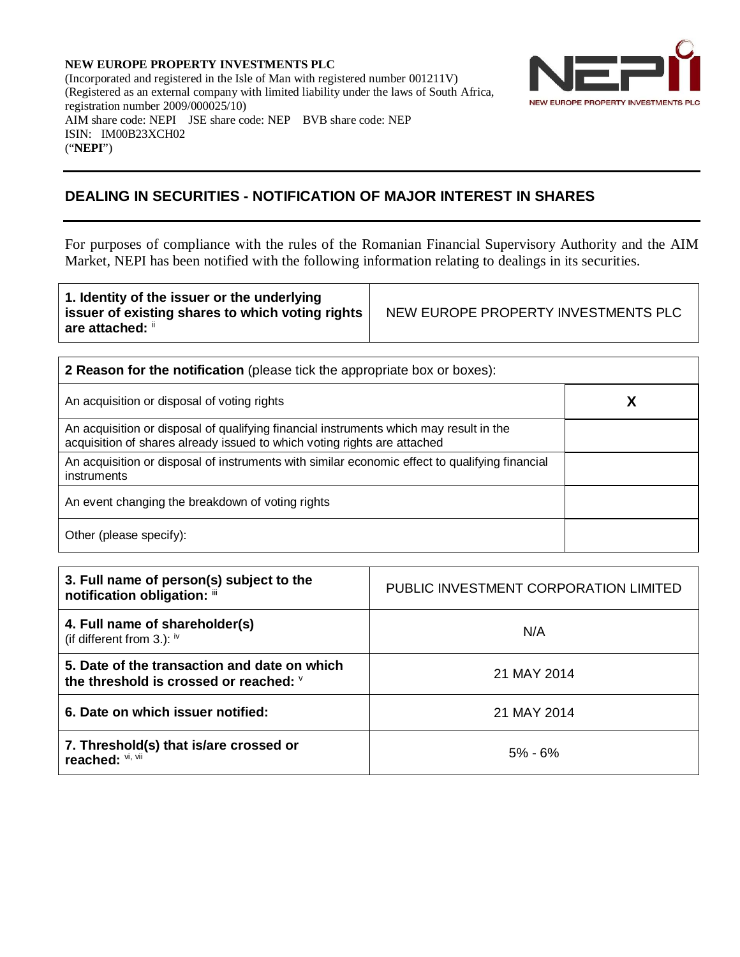**NEW EUROPE PROPERTY INVESTMENTS PLC** (Incorporated and registered in the Isle of Man with registered number 001211V) (Registered as an external company with limited liability under the laws of South Africa, registration number 2009/000025/10) AIM share code: NEPI JSE share code: NEP BVB share code: NEP ISIN: IM00B23XCH02 ("**NEPI**")



## **DEALING IN SECURITIES - NOTIFICATION OF MAJOR INTEREST IN SHARES**

For purposes of compliance with the rules of the Romanian Financial Supervisory Authority and the AIM Market, NEPI has been notified with the following information relating to dealings in its securities.

| <b>2 Reason for the notification</b> (please tick the appropriate box or boxes):                                                                                   |  |  |  |  |
|--------------------------------------------------------------------------------------------------------------------------------------------------------------------|--|--|--|--|
| An acquisition or disposal of voting rights                                                                                                                        |  |  |  |  |
| An acquisition or disposal of qualifying financial instruments which may result in the<br>acquisition of shares already issued to which voting rights are attached |  |  |  |  |
| An acquisition or disposal of instruments with similar economic effect to qualifying financial<br>instruments                                                      |  |  |  |  |
| An event changing the breakdown of voting rights                                                                                                                   |  |  |  |  |
| Other (please specify):                                                                                                                                            |  |  |  |  |

| 3. Full name of person(s) subject to the<br>notification obligation: iii               | PUBLIC INVESTMENT CORPORATION LIMITED |
|----------------------------------------------------------------------------------------|---------------------------------------|
| 4. Full name of shareholder(s)<br>(if different from 3.): $iv$                         | N/A                                   |
| 5. Date of the transaction and date on which<br>the threshold is crossed or reached: V | 21 MAY 2014                           |
| 6. Date on which issuer notified:                                                      | 21 MAY 2014                           |
| 7. Threshold(s) that is/are crossed or<br>reached: Vi, Vii                             | $5% - 6%$                             |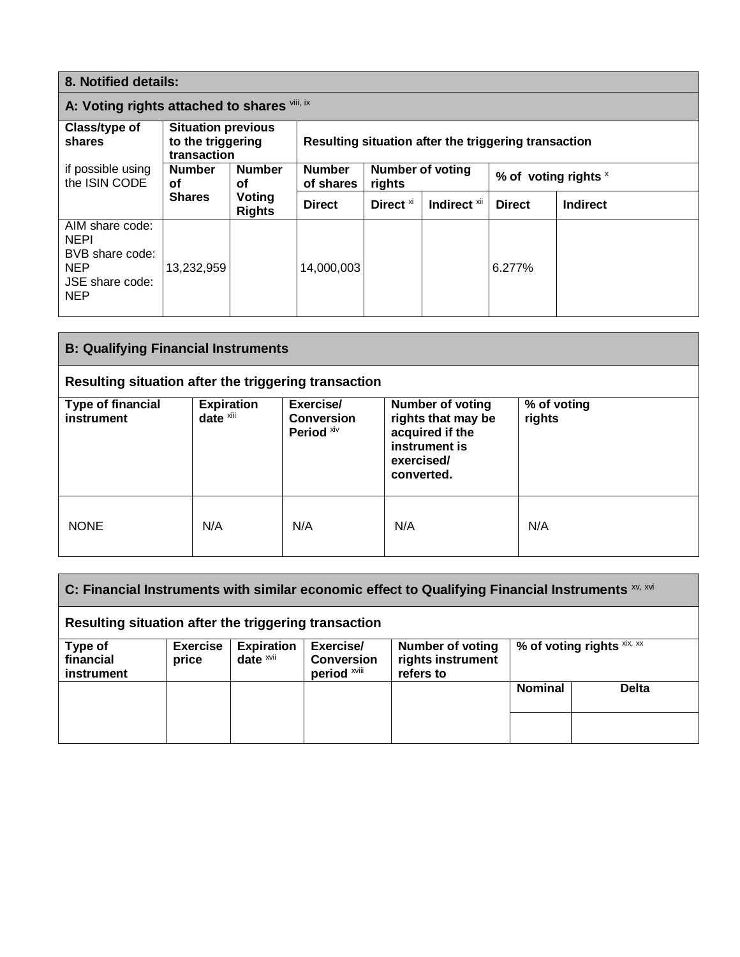| 8. Notified details:                                                                             |                                                               |                         |                                                      |                                   |                         |                        |                 |
|--------------------------------------------------------------------------------------------------|---------------------------------------------------------------|-------------------------|------------------------------------------------------|-----------------------------------|-------------------------|------------------------|-----------------|
| A: Voting rights attached to shares vili, ix                                                     |                                                               |                         |                                                      |                                   |                         |                        |                 |
| Class/type of<br>shares                                                                          | <b>Situation previous</b><br>to the triggering<br>transaction |                         | Resulting situation after the triggering transaction |                                   |                         |                        |                 |
| if possible using<br>the ISIN CODE                                                               | <b>Number</b><br>οf                                           | <b>Number</b><br>οf     | <b>Number</b><br>of shares                           | <b>Number of voting</b><br>rights |                         | % of voting rights $x$ |                 |
|                                                                                                  | <b>Shares</b>                                                 | Voting<br><b>Rights</b> | <b>Direct</b>                                        | Direct <sup>xi</sup>              | Indirect <sup>xii</sup> | <b>Direct</b>          | <b>Indirect</b> |
| AIM share code:<br><b>NEPI</b><br>BVB share code:<br><b>NEP</b><br>JSE share code:<br><b>NEP</b> | 13,232,959                                                    |                         | 14,000,003                                           |                                   |                         | 6.277%                 |                 |

| <b>B: Qualifying Financial Instruments</b>           |                                |                                              |                                                                                                               |                       |  |
|------------------------------------------------------|--------------------------------|----------------------------------------------|---------------------------------------------------------------------------------------------------------------|-----------------------|--|
| Resulting situation after the triggering transaction |                                |                                              |                                                                                                               |                       |  |
| <b>Type of financial</b><br>instrument               | <b>Expiration</b><br>date xiii | Exercise/<br><b>Conversion</b><br>Period Xiv | <b>Number of voting</b><br>rights that may be<br>acquired if the<br>instrument is<br>exercised/<br>converted. | % of voting<br>rights |  |
| <b>NONE</b>                                          | N/A                            | N/A                                          | N/A                                                                                                           | N/A                   |  |

|                                    | Resulting situation after the triggering transaction |                                              |                                                | C: Financial Instruments with similar economic effect to Qualifying Financial Instruments $\frac{xy}{x}$ |                                           |              |  |
|------------------------------------|------------------------------------------------------|----------------------------------------------|------------------------------------------------|----------------------------------------------------------------------------------------------------------|-------------------------------------------|--------------|--|
| Type of<br>financial<br>instrument | <b>Exercise</b><br>price                             | <b>Expiration</b><br>date $x$ <sub>vii</sub> | Exercise/<br><b>Conversion</b><br>period xviii | <b>Number of voting</b><br>rights instrument<br>refers to                                                | % of voting rights $x$ <sup>xix, xx</sup> |              |  |
|                                    |                                                      |                                              |                                                |                                                                                                          | <b>Nominal</b>                            | <b>Delta</b> |  |
|                                    |                                                      |                                              |                                                |                                                                                                          |                                           |              |  |